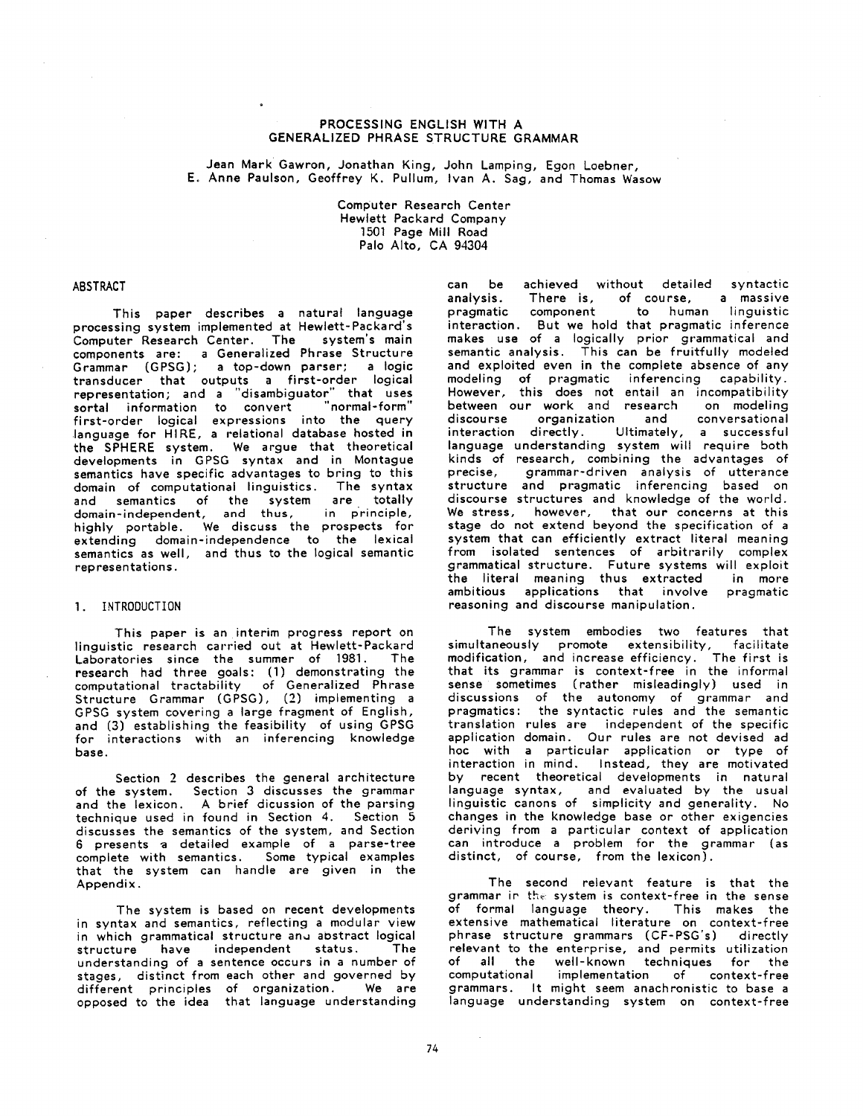### PROCESSING ENGLISH WITH A GENERALIZED PHRASE STRUCTURE GRAMMAR

Jean Mark Gawron, Jonathan King, John Lamping, Egon Loebner, E. Anne Paulson, Geoffrey K. Pullum, Ivan A. Sag, and Thomas Wasow

> Computer Research Center Hewlett Packard Company 1501 Page Mill Road Palo Alto, CA 94304

#### ABSTRACT

This paper describes a natural language processing system implemented at Hewlett-Packard's Computer Research Center. The system's main components are: a Generalized Phrase Structure Grammar (GPSG); a top-down parser; a logic transducer that outputs a first-order logical representation; and a "disambiguator" that uses sortal information to convert "normal-form" first-order logical expressions into the query language for HIRE, a relational database hosted in the SPHERE system. We argue that theoretical developments in GPSG syntax and in Montague semantics have specific advantages to bring to this domain of computational linguistics. The syntax and semantics of the system are totally domain-independent, and thus, in principle, highly portable. We discuss the prospects for extending domain-independence to the lexical semantics as well, and thus to the logical semantic representations.

#### I. INTRODUCTION

This paper is an interim progress report on linguistic research carried out at Hewlett-Packard<br>Laboratories, since the summer of 1981. The Laboratories since the summer of 1981. research had three goals: (1) demonstrating the computational tractability of Generalized Phrase Structure Grammar (GPSG), (2) implementing a GPSG system covering a large fragment of English, and (3) establishing the feasibility of using GPSG for interactions with an inferencing knowledge base.

Section 2 describes the general architecture of the system. Section 3 discusses the grammar and the lexicon. A brief dicussion of the parsing technique used in found in Section 4. Section 5 discusses the semantics of the system, and Section 6 presents a detailed example of a parse-tree complete with semantics. Some typical examples that the system can handle are given in the Appendix.

The system is based on recent developments in syntax and semantics, reflecting a modular view in which grammatical structure and abstract logical structure have independent status. The understanding of a sentence occurs in a number of stages, distinct from each other and governed by different principles of organization. We are opposed to the idea that language understanding

can be achieved without detailed syntactic<br>canalysis. There is, of course, a massive analysis. There is, of course, a massive component to human linguistic interaction. But we hold that pragmatic inference makes use of a logically prior grammatical and semantic analysis. This can be fruitfully modeled and exploited even in the complete absence of any modeling of pragmatic inferencing capability. However, this does not entail an incompatibility<br>between our work and research on modeling between our work and research on modeling<br>discourse organization and conversational organization interaction directly= Ultimately, a successful language understanding system wilt require both kinds of research, combining the advantages of precise, grammar-driven analysis of utterance structure and pragmatic inferencing based on discourse structures and knowledge of the world. We stress, however, that our concerns at this stage do not extend beyond the specification of a system that can efficiently extract literal meaning from isolated sentences of arbitrarily complex grammatical structure. Future systems will exploit the literal meaning thus extracted in more ambitious applications that involve pragmatic reasoning and discourse manipulation.

The system embodies two features that simultaneously promote extensibility, facilitate modification, and increase efficiency. The first is that its grammar is context-free in the informal sense sometimes (rather misleadingly) used in discussions of the autonomy of grammar and pragmatics: the syntactic rules and the semantic translation rules are independent of the specific application domain. Our rules are not devised ad hoc with a particular application or type of interaction in mind. Instead, they are motivated by recent theoretical developments in natural language syntax, and evaluated by the usual linguistic canons of simplicity and generality. No changes in the knowledge base or other exigencies deriving from a particular context of application can introduce a problem for the grammar (as distinct, of course, from the lexicon).

The second relevant feature is that the grammar ir the- system is context-free in the sense of formal language theory. This makes the extensive mathematical literature on context-free phrase structure grammars (CF-PSG's) directly relevant to the enterprise, and permits utilization of all the well-known techniques for the<br>computational implementation of context-free implementation of context-free grammars. It might seem anachronistic to base a language understanding system on context-free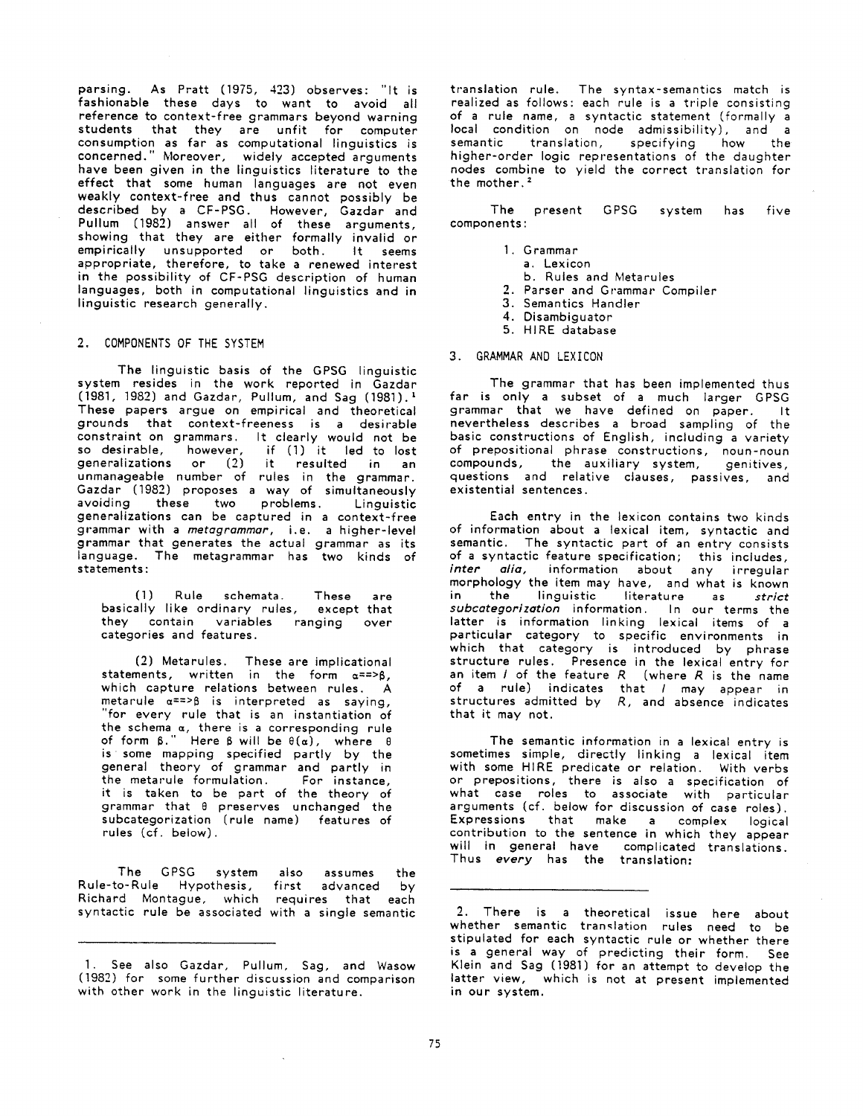parsing. As Pratt (1975, 423) observes: "It is fashionable these days to want to avoid all reference to context-free grammars beyond warning students that they are unfit for computer consumption as far as computational linguistics is concerned." Moreover, widely accepted arguments have been given in the linguistics literature to the effect that some human languages are not even weakly context-free and thus cannot possibly be described by a CF-PSG. However, Gazdar and Pullum (1982) answer all of these arguments, showing that they are either formally invalid or empirically unsupported or both. It seems *appropriate,* therefore, to take a renewed interest in the possibility of CF-PSG description of human languages, both in computational linguistics and in linguistic research generally.

### 2. COMPONENTS OF THE SYSTEM

The linguistic basis of the GPSG linguistic system resides in the work reported in Gazdar (1981, 1982) and Gazdar, Pullum, and Sag (1981). 1 These papers argue on empirical and theoretical grounds that context-freeness is a desirable constraint on grammars. It clearly would not be<br>so desirable, however, if (1) it led to lost so desirable, however, if (1) it led to lost generalizations or (2) it resulted in an unmanageable number of rules in the grammar. Gazdar (1982) proposes a way of simultaneously avoiding these two problems. Linguistic *generalizations* can be captured in a context-free grammar with a *metagrammor,* i.e. a higher-level grammar that generates the actual grammar as its language. The *metagrammar* has two kinds of statements:

(1) Rule schemata. These are basically like ordinary rules, except that they contain variables ranging over categories and features.

(2) Metarules. These are implicational statements, written in the form  $\alpha^{==>}\beta$ , which capture relations between rules. A metarule  $\alpha^{z=>}\beta$  is interpreted as saying,<br>"for every rule that is an instantiation of "for every rule that is an instantiation of the schema  $\alpha$ , there is a corresponding rule of form  $\beta$ ." Here  $\beta$  will be  $\theta(\alpha)$ , where  $\theta$ is some mapping specified partly by the general theory of grammar and partly in the metarule formulation. For instance, it is taken to be part of the theory of grammar that @ preserves unchanged the subcategorization (rule name) features of rules (cf. below).

The GPSG system also assumes the<br>o-Rule Hypothesis, first advanced by Rule-to-Rule Hypothesis, first advanced by Richard Montague, which requires that each syntactic rule be associated with a single semantic

translation rule. The syntax-semantics match is realized as follows: each rule is a triple consisting of a rule name, a syntactic statement (formally a local condition on node admissibility), and a semantic translation, specifying how the higher-order logic representations of the daughter nodes combine to yield the correct translation for the mother. $2$ 

The present GPSG system has five components :

- 1. Grammar
- a. Lexicon
- b. Rules and Metarules
- 2. Parser and Grammar Compiler
- 3. Semantics Handler
- 4. Disambiguator
- 5. HIRE database

### 3. GRAMMAR AND LEXICON

The grammar that has been implemented thus far is only a subset of a much larger GPSG grammar that we have defined on paper. It nevertheless describes a broad sampling of the basic constructions of English, including a variety of prepositional phrase constructions, noun-noun<br>compounds, the auxiliary system, genitives, the auxiliary system, genitives, questions and relative clauses, passives, and existential sentences.

Each entry in the lexicon contains two kinds of information about a lexical item, syntactic and semantic. The syntactic part of an entry consists of a syntactic feature specification; this includes,<br>inter alia, information about any irrequiar information about any irregular morphology the item may have, and what is known<br>in the linguistic literature as strict in the linguistic literature as *strict subcategorization* information. In our terms the latter is information linking lexical items of a particular category to specific environments in which that category is introduced by phrase structure rules. Presence in the lexical entry for an item  $I$  of the feature  $R$  (where  $R$  is the name of a rule) indicates that / may appear in structures admitted by *R,* and absence indicates that it may not.

The semantic information in a lexical entry is sometimes simple, directly linking a lexical item with some HIRE predicate or relation. With verbs or prepositions, there is also a specification of what case roles to associate with particular arguments (cf. below for discussion of *case* roles). Expressions that make a complex logical contribution to the sentence in which they appear will in general have complicated translations. Thus *every* has the translation:

I. See also Gazdar, Pullum, Sag, and Wasow (1982) for some further discussion and comparison with other work in the linguistic literature.

<sup>2.</sup> There is a theoretical issue here about whether semantic translation rules need to be stipulated for each syntactic rule or whether there is a general way of predicting their form. See Klein and Sag (1981) for an attempt to develop the latter view, which is not at present implemented in our system.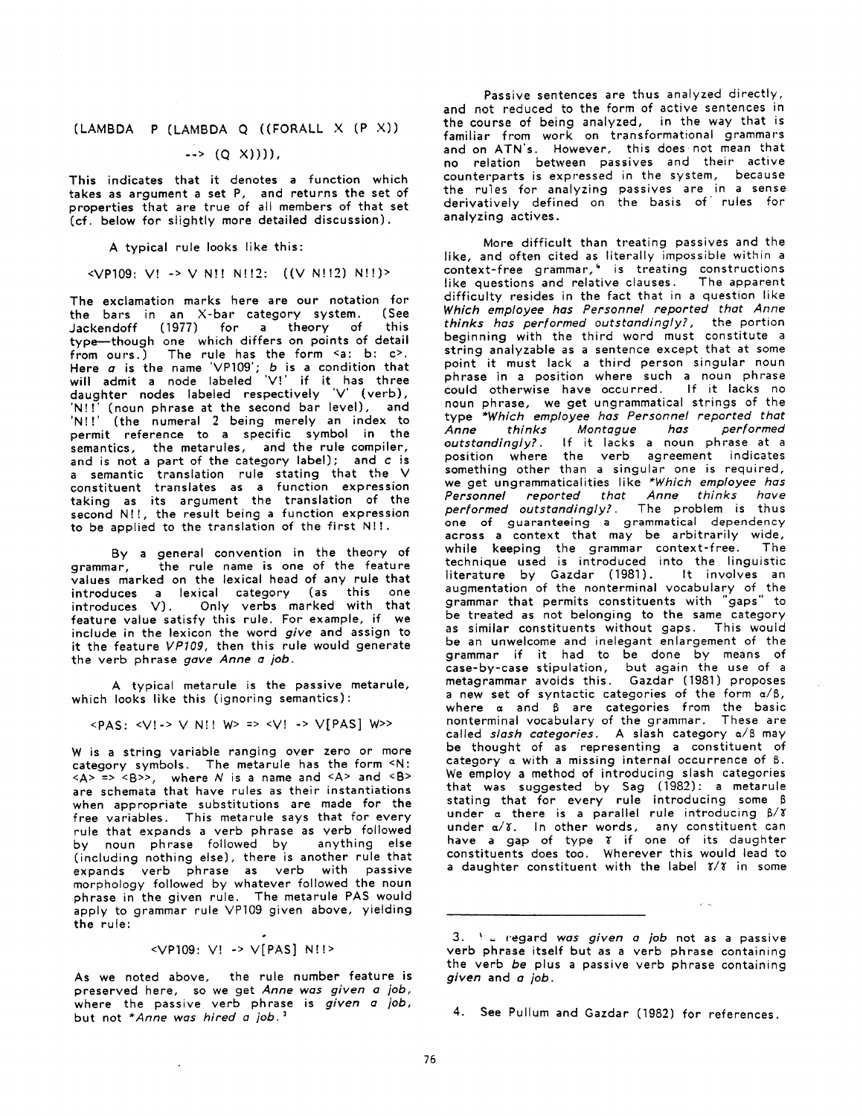# (LAMBDA P (LAMBDA Q ((FORALL X (P X))

# $\rightarrow$  (0  $X$ )))),

This indicates that it denotes a function which takes as argument a set P, and returns the set of properties that are true of all members of that set (cf. below for slightly more detailed discussion).

A typical rule looks like this:

### <VPI09: V] -> V N]! N!I2: ((V N!!2) N!!)>

The exclamation marks here are our notation for the bars in an X-bar category system. (See<br>lackendoff (1977) for a theory of this Jackendoff (1977) for a theory of type--though one which differs on points of detail from ours.) The rule has the form <a: b: c>. Here  $\sigma$  is the name  $'$ VP109';  $b$  is a condition that will admit a node labeled 'V!' if it has three daughter nodes labeled respectively 'V' (verb), 'Nit' (noun phrase at the second bar level), and 'NI!' (the numeral 2 being merely an index to permit reference to a specific symbol in the semantics, the metarules, and the rule compiler, and is not a part of the category label); and c is a semantic translation rule stating that the V constituent translates as a function expression taking as its argument the translation of the second N!!, the result being a function expression to be applied to the translation of the first N!!.

By a general convention in the theory of grammar, the rule name is one of the feature values marked on the lexical head of any rule that introduces a lexical category (as this one introduces V). Only verbs marked with that feature value satisfy this rule. For example, if we include in the lexicon the word *give* and assign to it the feature *VPI09,* then this rule would generate the verb phrase *gave Anne a job.* 

A typical metarule is the passive metarule, which looks like this (ignoring semantics):

 $\langle PAS: \langle V! \rangle > V N! \rangle$  W =>  $\langle V! \rangle > V$   $\langle PAS \rangle$  W >>

W is a string variable ranging over zero or more category symbols. The metarule has the form <N:  $\langle A \rangle$  =>  $\langle B \rangle$ , where N is a name and  $\langle A \rangle$  and  $\langle B \rangle$ are schemata that have rules as their instantiations when appropriate substitutions are made for the free variables. This metarule says that for every rule that expands a verb phrase as verb followed by noun phrase followed by anything else (including nothing else), there is another rule that expands verb phrase as verb with passive morphology followed by whatever followed the noun phrase in the given rule. The metarule PAS would apply to grammar rule VP109 given above, yielding **the** rule:

$$
\langle VP109: V! \rightarrow V[PAS] N!! \rangle
$$

As we noted above, the rule number feature is preserved here, so we get *Anne was given a job,*  where the passive verb phrase is *given a job,*  but not *\*Anne was hired a job. 3* 

 $\mathbf{v}$ 

Passive sentences are thus analyzed directly, and not reduced to the form of active sentences in the course of being analyzed, in the way that is familiar from work on transformational grammars and on ATN's. However, this does not mean that no relation between passives and their active counterparts is expressed in the system, because the rules for analyzing passives are in a sense derivatively defined on the basis of' rules for analyzing actives.

More difficult than treating passives and the like, and often cited as literally impossible within a context-free grammar'," is treating constructions like questions and relative clauses. The apparent difficulty resides in the fact that in a question like *Which employee has Personnel reported that Anne thinks has performed outstandingly?,* the portion beginning with the third word must constitute a string analyzable as a sentence except that at some point it must lack a third person singular noun phrase in a position where such a noun phrase could otherwise have occurred. If it lacks no noun phrase, we get ungrammatical strings of the type *\*Which employee has Personnel reported that Anne thinks Montague has performed outstandingly?.* If it lacks a noun phrase at a position where the verb agreement indicates something other than a singular one is required, we get ungrammaticalities like *\*Which employee has Personnel reported that Anne thinks have performed outstandingly?.* The problem is thus one of guaranteeing a *grammatical* dependency across a context that may be arbitrarily wide, while keeping the grammar context-free. The technique used is introduced into the linguistic literature by Gazdar (1981). It involves an augmentation of the nonterminal vocabulary of the grammar that permits constituents with "gaps" to be treated as not belonging to the same category as similar constituents without gaps. This would be an unwelcome and inelegant enlargement of the grammar if it had to be done by means of case-by-case stipulation, but *again* the use of a metagrammar avoids this. Gazdar (1981) proposes a new set of syntactic categories of the form *a/B,*  where  $\alpha$  and  $\beta$  are categories from the basic nonterminal vocabulary of the grammar. These are called *slash categories*. A slash category a/ß may be thought of as representing a constituent of category  $\alpha$  with a missing internal occurrence of  $\beta$ . We employ a method of introducing slash categories that was suggested by Sag (1982): a metarule stating that for every rule introducing some B under  $\alpha$  there is a parallel rule introducing  $\beta/\gamma$ under  $\alpha/\mathfrak{F}$ . In other words, any constituent can have a gap of type  $\mathfrak x$  if one of its daughter constituents does too. Wherever this would lead to a daughter constituent with the label  $\frac{x}{x}$  in some

<sup>3. ~</sup> regard was *given a job* not as a passive verb phrase itself but as a verb phrase containing the verb *be* plus a passive verb phrase containing *given* and a *job.* 

<sup>4.</sup> See Pullum and Gazdar (1982) for references.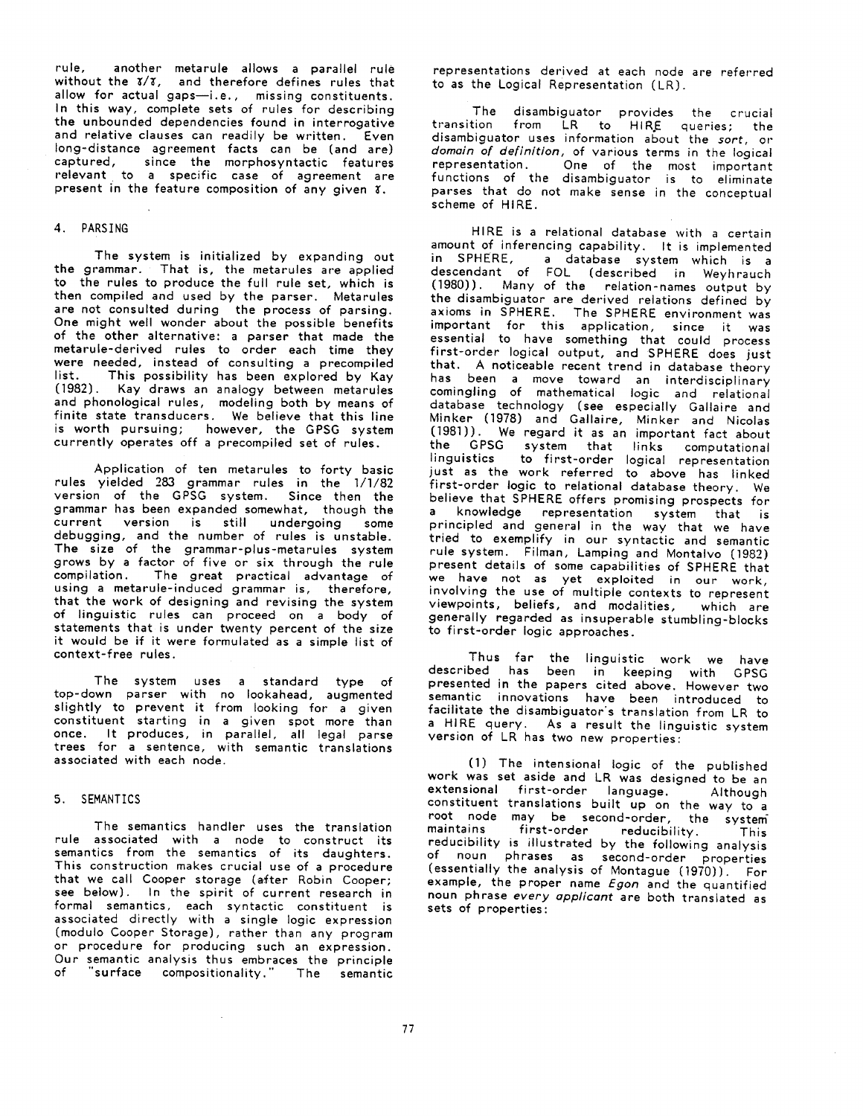rule, another metarule allows a parallel rule without the  $x/x$ , and therefore defines rules that allow for actual gaps-i.e., missing constituents. In this *way,* complete sets of rules for describing the unbounded dependencies found in interrogative and relative clauses can readily be written. Even long-distance agreement facts can be (and are) captured, since the morphosyntactic features relevant to a specific *case* of agreement are present in the feature composition of any given  $x$ .

#### 4. PARSING

The system is initialized by expanding out the grammar. That is, the metarules are applied to the rules to produce the full rule set, which is then compiled and used by the parser. Metarules are not consulted during the process of parsing. One might well wonder about the possible benefits of the other alternative: a parser that made the metarule-derived rules to order each time they were needed, instead of consulting a precompiled<br>list. This possibility has been explored by Kav This possibility has been explored by Kay (1982). Kay draws an analogy between metarules and phonological rules, modeling both by means of finite state transducers. We believe that this line is worth pursuing; however, the GPSG system currently operates off a precompiled set of rules.

Application of ten metarules to forty basic rules yielded 283 grammar rules in the 1/1/82 version of the GPSG system. Since then the grammar has been expanded somewhat, though the current version is still undergoing some debugging, and the number of rules is unstable. The size of the grammar-plus-metarules system grows by a factor of five or six through the rule compilation. The great practical advantage of using a metarule-induced grammar is, therefore, that the work of designing and revising the system of linguistic rules can proceed on a body of statements that is under twenty percent of the size it would be if it were formulated as a simple list of context-free rules.

The system uses a standard type of top-down parser with no Iookahead, augmented slightly to prevent it from looking for a given constituent starting in a given spot more than once. It produces, in parallel, all legal parse trees for a sentence, with semantic translations associated with each node.

#### 5. SEMANTICS

The semantics handler uses the translation rule associated with a node to construct its semantics from the semantics of its daughters. This construction makes crucial use of a procedure that we call Cooper storage (after Robin Cooper; see below). In the spirit of current research in formal semantics, each syntactic constituent is associated directly with a single logic expression (modulo Cooper Storage), rather than any program or procedure for producing such an expression. Our semantic analysis thus embraces the principle of "surface compositionality." The semantic

 $\mathcal{L}$ 

representations derived at each node are referred to as the Logical Representation (LR).

The disambiguator provides the crucial transition from LR to HIRE queries; the disambiguator uses information about the *sort,* or *domoin of definition,* of various terms in the logical representation. One of the most important functions of the disambiguator is to eliminate parses that do not make sense in the conceptual scheme of HIRE.

HIRE is a relational database with a certain amount of inferencing capability. It is implemented in SPHERE, a database system which is a descendant of FOL (described in Weyhrauch (1980)). Many of the relation-names output by the disambiguator are derived relations defined by axioms in SPHERE. The SPHERE environment was important for this application, since it was essential to have something that could process first-order logical output, and SPHERE does just that. A noticeable recent trend in database theory has been a move toward an interdisciplinary comingling of mathematical logic and relational database technology (see especially Gallaire and Minker (1978) and *Gallaire,* Minker and Nicolas (198])). We regard it as an important fact about the GPSG system that links computational linguistics to first-order logical representation just as the work referred to above has linked first-order logic to relational database theory. We believe that SPHERE offers promising prospects for a knowledge representation system that is principled and general in the way that we have tried to exemplify in our syntactic and semantic rule system. Filman, Lamping and Montalvo (1982) present details of some capabilities of SPHERE that we have not as yet exploited in our work, involving the use of multiple contexts to represent viewpoints, beliefs, and modalities, which are generally regarded as insuperable stumbling-blocks to first-order logic approaches.

Thus far the linguistic work we have described has been in keeping with GPSG presented in the papers cited above. However two semantic innovations have been introduced to facilitate the disambiguator's translation from LR to a HIRE query. As a result the linguistic system version of LR has two new properties:

(1) The intensional logic of the published work was set aside and LR was designed to be an extensional first-order language. Although constituent translations built up on the way to a root node may be second-order, the system<br>maintains first-order reducibility This first-order reducibility. This reducibility is illustrated by the following analysis of noun phrases as second-order properties (essentially the analysis of Montague (]970)). For example, the proper name *Egon* and the quantified noun phrase *every opplicant* are both translated as sets of properties: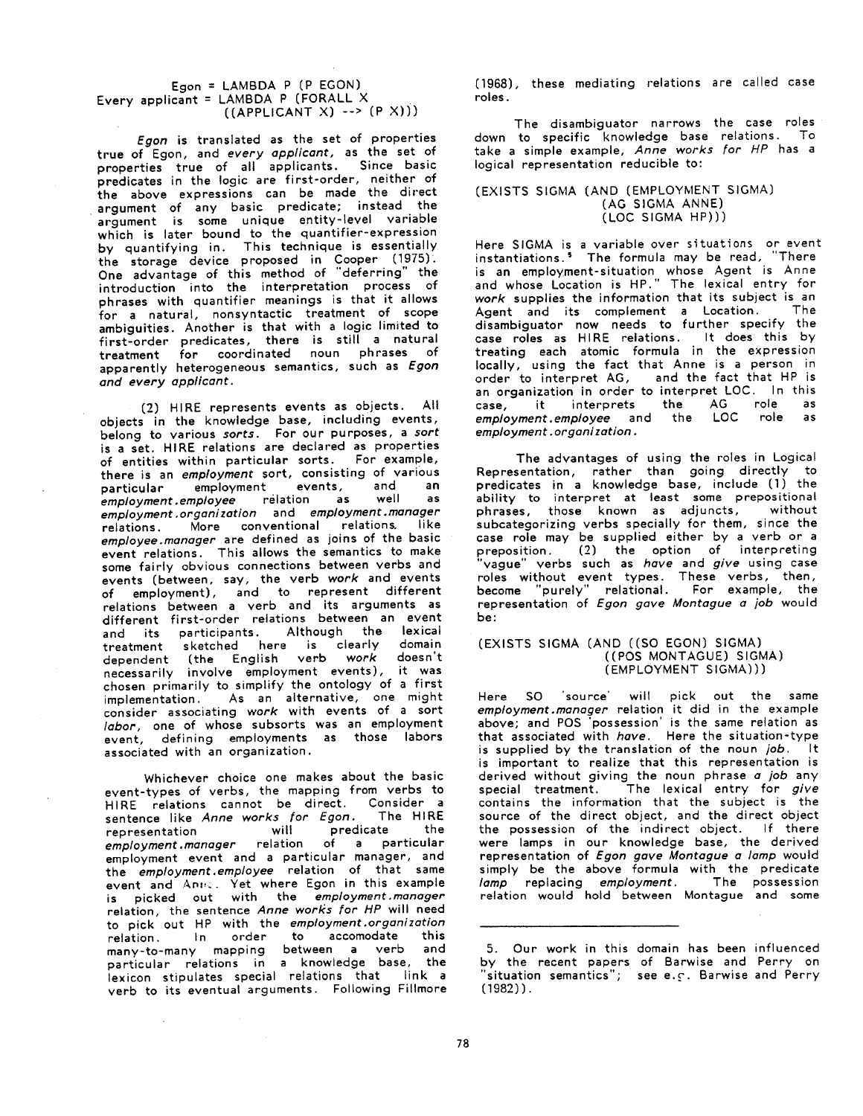### Egon = LAMBDA P (P EGON) Every applicant = LAMBDA P (FORALL X  $((APPLICANT X) -->(P X)))$

*Egon* is translated as the set of properties true of Egon, and *every applicant,* as the set of properties true of all applicants. Since basic predicates in the logic are first-order, neither of **the** above expressions can be made the direct argument of any basic predicate; instead the argument is some unique entity-level variable which is later bound to the quantifier-expression by quantifying in. This technique is essentially **the** storage device proposed in Cooper (1975). **One** advantage of this method of "deferring" the introduction into the interpretation process of phrases with quantifier meanings is that it allows for a natural, nonsyntactic treatment of scope ambiguities. Another is that with a logic limited to first-order predicates, there is still a natural treatment for coordinated noun phrases of apparently heterogeneous semantics, such as *Egon*  and *every applicant.* 

(2) HIRE represents events as objects. All objects in the knowledge base, including events, belong to various *sorts.* For our purposes, *a sort*  is a set. HIRE relations are declared as properties of entities within particular sorts. For example, there is an *employment* sort, consisting of various<br>particular employment events, and an particular employment events, and an<br>employment employee relation as well as employment.employee relation as *employment .organization* and *employment.manager*  relations. More conventional relations, *employee.manager* are defined as joins of the basic **event** relations. This allows the semantics to make some fairly obvious connections between verbs and events (between, say, the verb *work* and events of employment), and to represent different relations between a verb and its arguments as different first-order relations between an event and its participants. Although the lexical treatment sketched here is clearly domain dependent (the English verb *work* doesn't necessarily involve employment events), it was chosen primarily to simplify the ontology of a first implementation. As an alternative, one might consider associating *work* with events of a sort *labor,* one of whose subsorts was an employment event, defining employments as those labors associated with an organization.

Whichever choice one makes about the basic event-types of verbs, the mapping from verbs to HIRE relations cannot be direct. Consider a sentence like *Anne work5 for Egon.* The HIRE representation will predicate the *employment.manager* relation of a particular employment event and a particular manager, and the *employment.employee* relation of that same event and Anne. Yet where Egon in this example is picked out with the *employment .manager*  relation, the sentence *Anne works for HP* will need to pick out HP with the *employment.organization*  relation. In order to accomodate this many-to-many mapping between a verb and particular relations in a knowledge base, the lexicon stipulates special relations that link a verb to its eventual arguments. Following Fillmore (1968), these mediating relations are called case roles.

The disambiguator narrows the case roles down to specific knowledge base relations. To take a simple example, *Anne works for HP* has a logical representation reducible to:

### (EXISTS SIGMA (AND (EMPLOYMENT SIGMA) (AG SIGMA ANNE) (LOC SIGMA HP)))

Here SIGMA is a variable over situations or event instantiations.<sup>5</sup> The formula may be read, "There is an employment-situation whose Agent is Anne and whose Location is HP." The lexical entry for *work* supplies the information that its subject is an Agent and its complement a Location. The disambiguator now needs to further specify the case roles as HIRE relations. It does this by treating each atomic formula in the expression locally, using the fact that Anne is a person in<br>order to interpret AG, and the fact that HP is order to interpret AG, an organization in order to interpret LOC. In this<br>case, it interprets the AG role as case, it interprets the AG role as<br>employment.employee and the LOC role as *employment.employee* and the *employment.organization.* 

The advantages of using the roles in Logical Representation, rather than going directly to predicates in a knowledge base, include (1) the ability to interpret at least some prepositional<br>phrases those known as adjuncts, without phrases, those known as adjuncts, subcategorizing verbs specially for them, since the case role may be supplied either by a verb or a preposition. (2) the option of interpreting 'vague' verbs such as *have* and *give* using *case*  roles without event types. These verbs, then, become "purely" relational. For example, the representation of *Egon gave Montague a job* would be:

### (EXISTS SIGMA (AND ((SO EGON) SIGMA) ((POS MONTAGUE) SIGMA) (EMPLOYMENT SIGMA)))

Here SO 'source' will pick out the same *employment.manager* relation it did in the example above; and POS 'possession' is the same relation as that associated with *have.* Here the situation-type is supplied by the translation of the noun job. It is important to realize that this representation is derived without giving the noun phrase a *job* any special treatment. The lexical entry for *give*  contains the information that the subject is the source of the direct object, and the direct object the possession of the indirect object. If there were lamps in our knowledge base, the derived representation of *Egon gave Montague a lamp* would simply be the above formula with the predicate *lamp* replacing *employment.* The possession relation would hold between Montague and some

<sup>5.</sup> Our work in this domain has been influenced by the recent papers of Barwise and Perry on situation semantics"; see e.c. Barwise and Perry (1982)).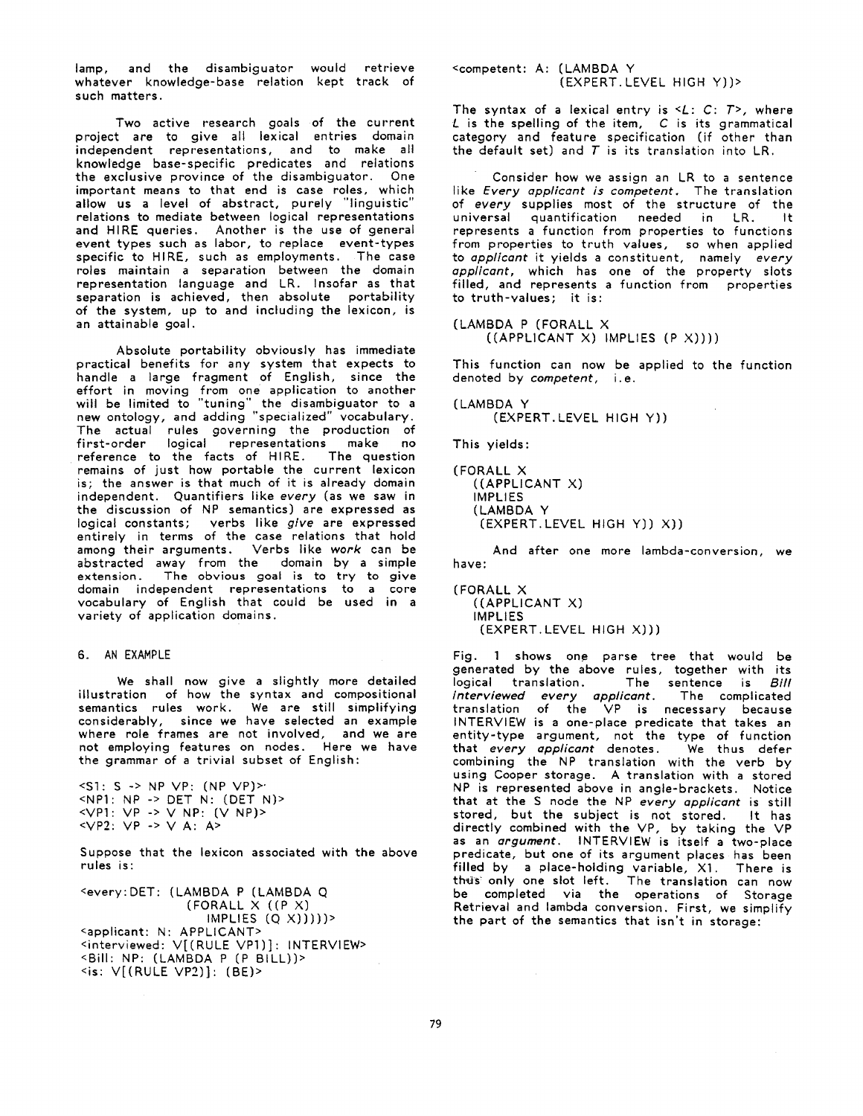lamp, and the disambiguator would retrieve whatever knowledge-base relation kept track of such matters.

Two active research goals of the current project are to give all lexical entries domain independent representations, and to make all knowledge base-specific predicates and relations the exclusive province of the disambiguator. One important means to that end is *case* roles, which allow us a level of abstract, purely "linguistic" relations to mediate between logical representations and HIRE queries. Another is the use of general event types such as labor, to replace event-types specific to HIRE, such as employments. The case roles maintain a separation between the domain representation language and LR. Insofar as that separation is achieved, then absolute portability of the system, up to and including the lexicon, is *an attainable* goal.

Absolute portability obviously has immediate practical benefits for any system that expects to handle a large fragment of English, since the effort in moving from one application to another will be limited to "tuning" the disambiguator to a new ontology, and adding "specialized" vocabulary. The actual rules governing the production of first-order logical representations make no reference to the facts of HIRE. The question remains of just how portable the current lexicon is; the answer is that much of it is already domain independent. Quantifiers like *every* (as we saw in the discussion of NP semantics) are expressed as logical constants; verbs like *give* are expressed entirely in terms of the case relations *that* hold among their arguments. Verbs like *work* can be abstracted away from the domain by a simple extension. The obvious goal is to try to give domain independent representations to a core vocabulary of English that could be used in a variety of application domains.

#### 6. AN EXAMPLE

We shall now give a slightly more detailed illustration of how the syntax and compositional semantics rules work. We are still simplifying considerably, since we have selected an example where role frames are not involved, and we are not employing features on nodes. Here we *have*  the grammar of a trivial subset of English:

**<\$1: S** -> NP VP: (NP **Vp)>"**  <NPI: NP -> DET N: (DET N)>  $\overline{VP1: VP}$  ->  $\vee$  NP:  $(\vee$  NP)> <VP2: VP -> V A: A>

Suppose that the lexicon associated with the above rules is:

<every:DET: (LAMBDA P (LAMBDA Q (FORALL X ((P X)  $IMPLIES (Q X))$ ))) <applicant: N: APPLICANT> <interviewed: V[(RULE VP1)]: INTERVIEW> <Bill: NP: (LAMBDA P (P BILL))>  $\leq$ is:  $V[(RULE VP2)]$ : (BE) >

<competent: A: (LAMBDA Y (EXPERT.LEVEL HIGH Y))>

The syntax of a lexical entry is <L: C: *T>,* where L is the spelling of the item, C is its grammatical category and feature specification (if other than the default set) and  $T$  is its translation into LR.

Consider how we assign an LR to a sentence like *Every applicant is competent.* The translation of *every* supplies most of the structure of the<br>universal quantification, needed in LR, it universal quantification needed in LR. represents a function from properties to functions from properties to truth values, so when applied to *applicant* it yields a constituent, namely *every applicant,* which has one of the property slots filled, and represents a function from properties to truth-values; it is:

(LAMBDA P (FORALL X ((APPLICANT X) IMPLIES (P X))))

This function can now be applied to the function denoted by *competent, i.e.* 

( LAMBDA Y (EXPERT.LEVEL HIGH Y))

This yields:

```
(FORALL X 
((APPLICANT X) 
IMPLIES 
(LAMBDA Y 
 (EXPERT.LEVEL HIGH Y)) X))
```
And after one more lambda-conversion, we have:

( FORALL X ((APPLICANT X) IMPLIES (EXPERT.LEVEL HIGH X)))

Fig. 1 shows one parse tree that would be generated by the above rules, together with its<br>logical translation. The sentence is *Bill* The sentence is *Bill interviewed every applicant.* The complicated translation of the VP is necessary because INTERVIEW is a one-place predicate that takes an entity-type argument, not the type of function that every *applicant* denotes. We thus defer combining the NP translation with the verb by using Cooper storage. A translation with a stored NP is represented above in angle-brackets. Notice that at the S node the NP *every applicant* is still stored, but the subject is not stored. It has directly combined with the VP, by taking the VP *as an argument.* INTERVIEW is itself a two-place predicate, but one of its argument places has been filled by a place-holding *variable,* X1. There is thus only one slot left. The translation can now be completed via the operations of Storage Retrieval and lambda conversion. First, we simplify the part of the semantics that isn't in storage: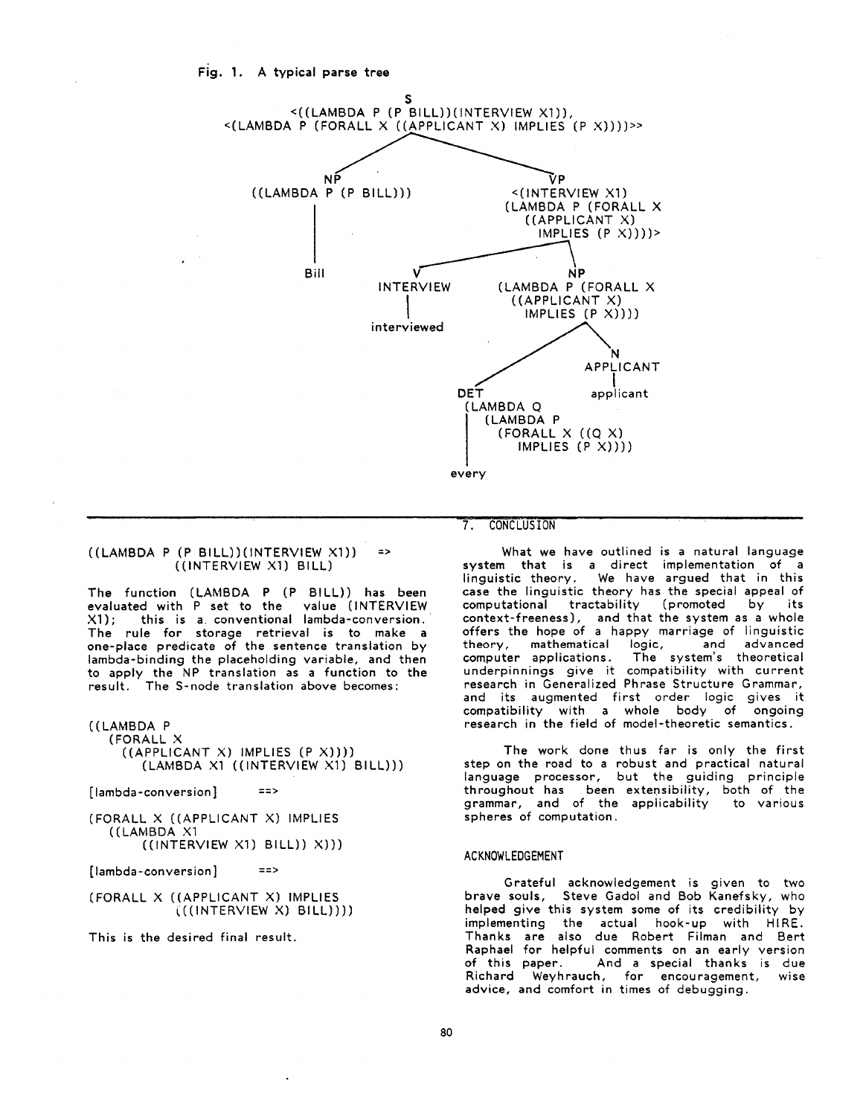

#### $((LAMBDA P (P BILL)) (INTERVIEW X1))$  => ((INTERVIEW Xl) BILL)

The function (LAMBDA P (P BILL)) has been evaluated with P set to the value (INTERVIEW X1); this is a. conventional lambda-conversion. The rule for storage retrieval is to make a one-place predicate of the sentence translation by lambda-binding the placeholding variable, and then to apply the NP translation as a function to **the**  result. The S-node translation above becomes:

### ((LAMBDA P

(FORALL X ((APPLICANT X) IMPLIES (P X)))) (LAMBDA X1 ((INTERVIEW X1) BILL)))

[lambda-conversion] *==>* 

(FORALL X ((APPLICANT X) IMPLIES ((LAMBDA X1 ((INTERVIEW X1) BILL)) X)))

 $[lambda-conversion]$  ==>

(FORALL X ((APPLICANT X) IMPLIES  $((\text{INTERVIEW X)} \text{ BILL})))$ 

This is the desired final result.

# 7. CONCLUSION

What we have outlined is a natural language system that is a direct implementation of a linguistic theory. We have argued that in this case the linguistic theory has the special appeal of computational tractability (promoted by its context-freeness), and that the system as a whole offers the hope of a happy marriage of linguistic theory, mathematical logic, and advanced computer applications. The system's theoretical underpinnings give it compatibility with current research in Generalized Phrase Structure Grammar, and its augmented first order logic gives it compatibility with a whole body of ongoing research in the field of model-theoretic semantics.

The work done thus far is only the first step on the road to a robust and practical natural language processor, but the guiding principle throughout has been extensibility, both of the grammar, and of the applicability to various spheres of computation.

#### ACKNOWLEDGEMENT

Grateful acknowledgement is given to two brave souls, Steve Gadol and Bob Kanefsky, who helped give this system some of its credibility by implementing the actual hook-up with HIRE. Thanks are also due Robert Filman and Bert Raphael for helpful comments on an early version of this paper. And a special thanks is due Richard Weyhrauch, for encouragement, wise advice, and comfort in times of debugging.